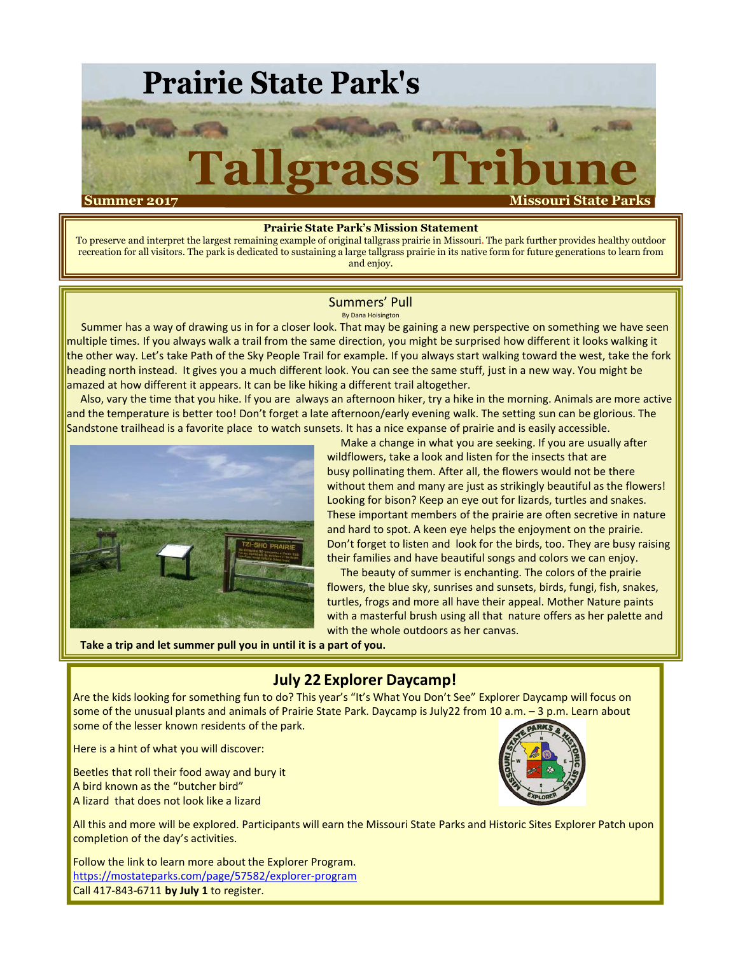

#### **Prairie State Park's Mission Statement**

To preserve and interpret the largest remaining example of original tallgrass prairie in Missouri. The park further provides healthy outdoor recreation for all visitors. The park is dedicated to sustaining a large tallgrass prairie in its native form for future generations to learn from and enjoy.

#### Summers' Pull By Dana Hoisington

Summer has a way of drawing us in for a closer look. That may be gaining a new perspective on something we have seen multiple times. If you always walk a trail from the same direction, you might be surprised how different it looks walking it the other way. Let's take Path of the Sky People Trail for example. If you always start walking toward the west, take the fork heading north instead. It gives you a much different look. You can see the same stuff, just in a new way. You might be amazed at how different it appears. It can be like hiking a different trail altogether.

Also, vary the time that you hike. If you are always an afternoon hiker, try a hike in the morning. Animals are more active and the temperature is better too! Don't forget a late afternoon/early evening walk. The setting sun can be glorious. The Sandstone trailhead is a favorite place to watch sunsets. It has a nice expanse of prairie and is easily accessible.



Make a change in what you are seeking. If you are usually after wildflowers, take a look and listen for the insects that are busy pollinating them. After all, the flowers would not be there without them and many are just as strikingly beautiful as the flowers! Looking for bison? Keep an eye out for lizards, turtles and snakes. These important members of the prairie are often secretive in nature and hard to spot. A keen eye helps the enjoyment on the prairie. Don't forget to listen and look for the birds, too. They are busy raising their families and have beautiful songs and colors we can enjoy.

The beauty of summer is enchanting. The colors of the prairie flowers, the blue sky, sunrises and sunsets, birds, fungi, fish, snakes, turtles, frogs and more all have their appeal. Mother Nature paints with a masterful brush using all that nature offers as her palette and with the whole outdoors as her canvas.

**Take a trip and let summer pull you in until it is a part of you.**

## **July 22 Explorer Daycamp!**

Are the kids looking for something fun to do? This year's "It's What You Don't See" Explorer Daycamp will focus on some of the unusual plants and animals of Prairie State Park. Daycamp is July22 from 10 a.m. – 3 p.m. Learn about some of the lesser known residents of the park.

Here is a hint of what you will discover:

Beetles that roll their food away and bury it A bird known as the "butcher bird" A lizard that does not look like a lizard



All this and more will be explored. Participants will earn the Missouri State Parks and Historic Sites Explorer Patch upon completion of the day's activities.

Follow the link to learn more about the Explorer Program. https://mostateparks.com/page/57582/explorer-program Call 417-843-6711 **by July 1** to register.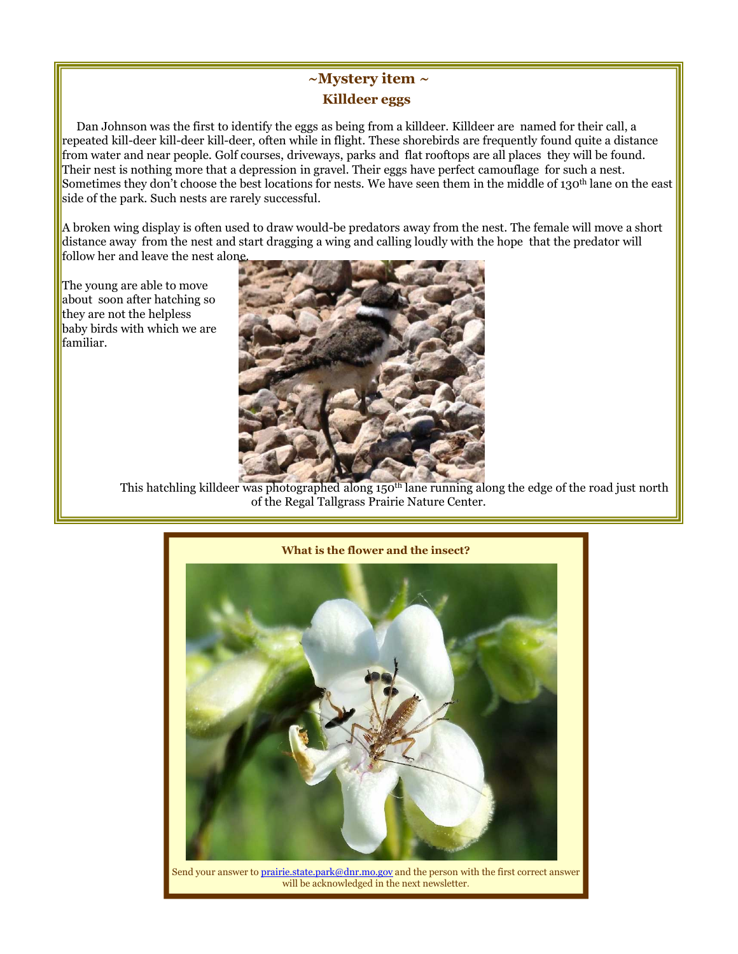# **~Mystery item ~ Killdeer eggs**

Dan Johnson was the first to identify the eggs as being from a killdeer. Killdeer are named for their call, a repeated kill-deer kill-deer kill-deer, often while in flight. These shorebirds are frequently found quite a distance from water and near people. Golf courses, driveways, parks and flat rooftops are all places they will be found. Their nest is nothing more that a depression in gravel. Their eggs have perfect camouflage for such a nest. Sometimes they don't choose the best locations for nests. We have seen them in the middle of 130<sup>th</sup> lane on the east side of the park. Such nests are rarely successful.

A broken wing display is often used to draw would-be predators away from the nest. The female will move a short distance away from the nest and start dragging a wing and calling loudly with the hope that the predator will follow her and leave the nest alone.

The young are able to move about soon after hatching so they are not the helpless baby birds with which we are familiar.



This hatchling killdeer was photographed along 150<sup>th</sup> lane running along the edge of the road just north of the Regal Tallgrass Prairie Nature Center.



Send your answer to prairie.state.park@dnr.mo.gov and the person with the first correct answer will be acknowledged in the next newsletter.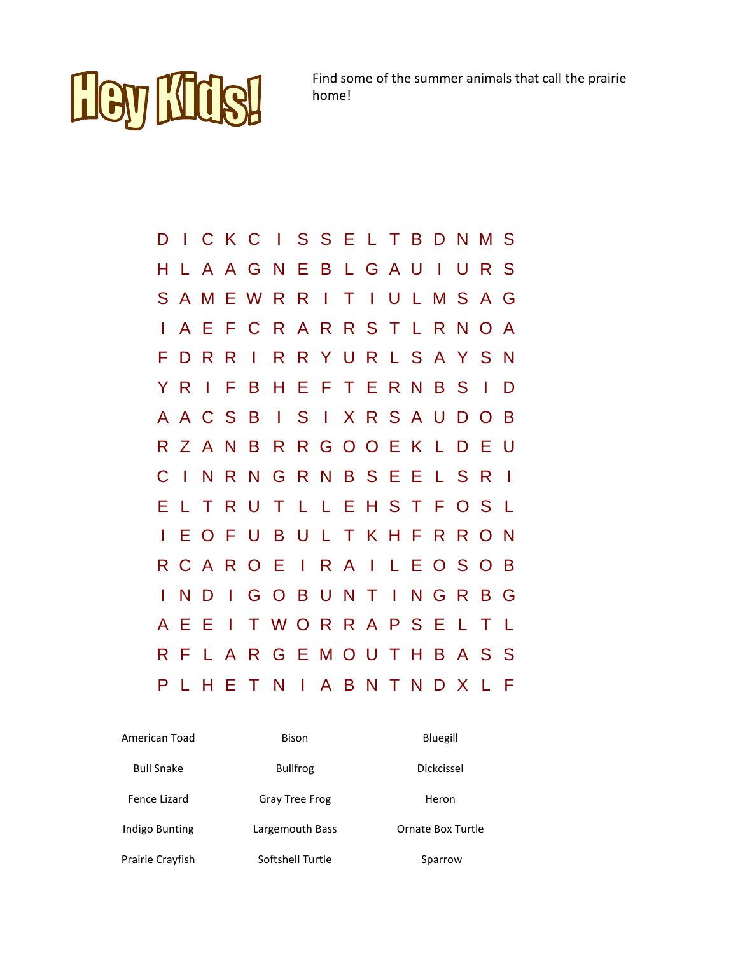

Find some of the summer animals that call the prairie home!

| D  |                |              |              | CKCISSELTBDNMS                  |  |  |  |   |               |              |
|----|----------------|--------------|--------------|---------------------------------|--|--|--|---|---------------|--------------|
| н  |                |              |              | A A G N E B L G A U I           |  |  |  | U | R S           |              |
| S. |                |              |              | A M E W R R I T I U L M S A G   |  |  |  |   |               |              |
|    |                |              |              | A E F C R A R R S T L R N O A   |  |  |  |   |               |              |
| F. |                | D R          | $\mathsf R$  | I R R Y U R L S A Y S N         |  |  |  |   |               |              |
|    | Y R            | $\mathbf{I}$ |              | <b>FBHEFTERNBS</b>              |  |  |  |   | $\mathcal{A}$ | D            |
|    |                |              |              | A A C S B I S I X R S A U D O B |  |  |  |   |               |              |
|    |                |              |              | R Z A N B R R G O O E K L D     |  |  |  |   | E U           |              |
| C  | $\blacksquare$ | N            |              | RNGRNBSEELSR                    |  |  |  |   |               | $\mathbf{I}$ |
| Е  |                | T            |              | <b>RUTLLEHSTFOS</b>             |  |  |  |   |               | - L          |
|    |                |              |              | EOFUBULTKHFRRON                 |  |  |  |   |               |              |
| R. |                |              |              | CAROEIRAILEOSOB                 |  |  |  |   |               |              |
|    | N              | D            | $\mathbf{I}$ | <b>GOBUNTINGR</b>               |  |  |  |   | B G           |              |
| A  | Е              | E            | $\mathbb{R}$ | TWORRAPSELT                     |  |  |  |   |               | $\mathsf{L}$ |
|    | R F            |              |              | LARGEMOUTHBASS                  |  |  |  |   |               |              |
| P  | $\mathsf{L}$   |              |              | HETNIABNTNDXL                   |  |  |  |   |               | F            |

| American Toad     | Bison                 | Bluegill          |  |  |  |
|-------------------|-----------------------|-------------------|--|--|--|
| <b>Bull Snake</b> | <b>Bullfrog</b>       | Dickcissel        |  |  |  |
| Fence Lizard      | <b>Gray Tree Frog</b> | Heron             |  |  |  |
| Indigo Bunting    | Largemouth Bass       | Ornate Box Turtle |  |  |  |
| Prairie Crayfish  | Softshell Turtle      | Sparrow           |  |  |  |